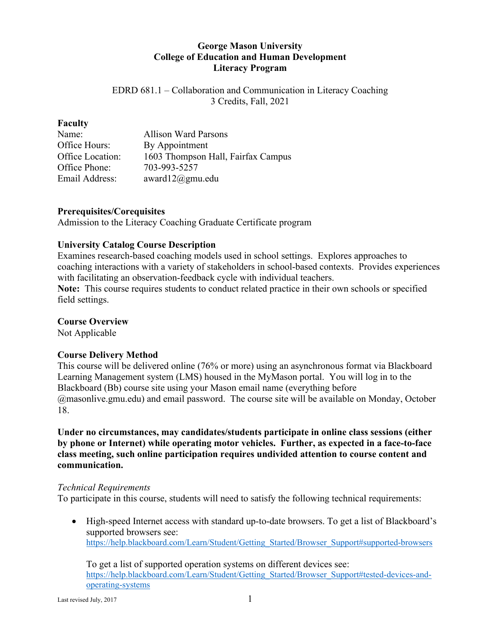## **George Mason University College of Education and Human Development Literacy Program**

EDRD 681.1 – Collaboration and Communication in Literacy Coaching 3 Credits, Fall, 2021

#### **Faculty**

| Name:            | <b>Allison Ward Parsons</b>        |
|------------------|------------------------------------|
| Office Hours:    | By Appointment                     |
| Office Location: | 1603 Thompson Hall, Fairfax Campus |
| Office Phone:    | 703-993-5257                       |
| Email Address:   | award $12@gmu.edu$                 |

#### **Prerequisites/Corequisites**

Admission to the Literacy Coaching Graduate Certificate program

## **University Catalog Course Description**

Examines research-based coaching models used in school settings. Explores approaches to coaching interactions with a variety of stakeholders in school-based contexts. Provides experiences with facilitating an observation-feedback cycle with individual teachers. **Note:** This course requires students to conduct related practice in their own schools or specified field settings.

### **Course Overview**

Not Applicable

## **Course Delivery Method**

This course will be delivered online (76% or more) using an asynchronous format via Blackboard Learning Management system (LMS) housed in the MyMason portal. You will log in to the Blackboard (Bb) course site using your Mason email name (everything before @masonlive.gmu.edu) and email password. The course site will be available on Monday, October 18.

**Under no circumstances, may candidates/students participate in online class sessions (either by phone or Internet) while operating motor vehicles. Further, as expected in a face-to-face class meeting, such online participation requires undivided attention to course content and communication.**

## *Technical Requirements*

To participate in this course, students will need to satisfy the following technical requirements:

• High-speed Internet access with standard up-to-date browsers. To get a list of Blackboard's supported browsers see: [https://help.blackboard.com/Learn/Student/Getting\\_Started/Browser\\_Support#supported-browsers](https://help.blackboard.com/Learn/Student/Getting_Started/Browser_Support#supported-browsers)

To get a list of supported operation systems on different devices see: [https://help.blackboard.com/Learn/Student/Getting\\_Started/Browser\\_Support#tested-devices-and](https://help.blackboard.com/Learn/Student/Getting_Started/Browser_Support#tested-devices-and-operating-systems)[operating-systems](https://help.blackboard.com/Learn/Student/Getting_Started/Browser_Support#tested-devices-and-operating-systems)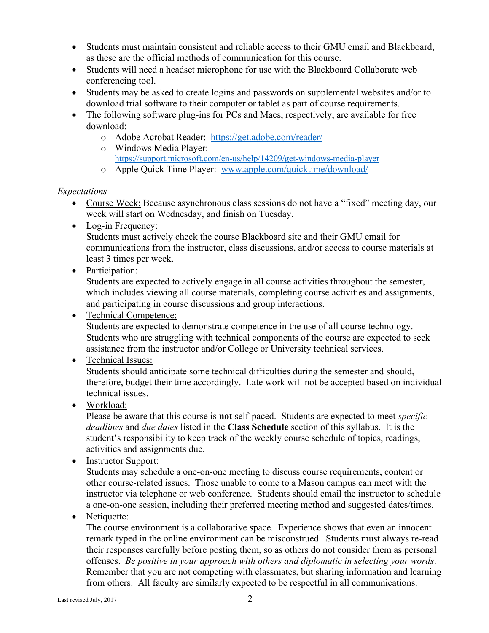- Students must maintain consistent and reliable access to their GMU email and Blackboard, as these are the official methods of communication for this course.
- Students will need a headset microphone for use with the Blackboard Collaborate web conferencing tool.
- Students may be asked to create logins and passwords on supplemental websites and/or to download trial software to their computer or tablet as part of course requirements.
- The following software plug-ins for PCs and Macs, respectively, are available for free download:
	- o Adobe Acrobat Reader: <https://get.adobe.com/reader/>
	- o Windows Media Player: <https://support.microsoft.com/en-us/help/14209/get-windows-media-player>
	- o Apple Quick Time Player: [www.apple.com/quicktime/download/](http://www.apple.com/quicktime/download/)

## *Expectations*

- Course Week: Because asynchronous class sessions do not have a "fixed" meeting day, our week will start on Wednesday, and finish on Tuesday.
- Log-in Frequency:

Students must actively check the course Blackboard site and their GMU email for communications from the instructor, class discussions, and/or access to course materials at least 3 times per week.

• Participation:

Students are expected to actively engage in all course activities throughout the semester, which includes viewing all course materials, completing course activities and assignments, and participating in course discussions and group interactions.

• Technical Competence:

Students are expected to demonstrate competence in the use of all course technology. Students who are struggling with technical components of the course are expected to seek assistance from the instructor and/or College or University technical services.

# • Technical Issues:

Students should anticipate some technical difficulties during the semester and should, therefore, budget their time accordingly. Late work will not be accepted based on individual technical issues.

# • Workload:

Please be aware that this course is **not** self-paced. Students are expected to meet *specific deadlines* and *due dates* listed in the **Class Schedule** section of this syllabus. It is the student's responsibility to keep track of the weekly course schedule of topics, readings, activities and assignments due.

• Instructor Support:

Students may schedule a one-on-one meeting to discuss course requirements, content or other course-related issues. Those unable to come to a Mason campus can meet with the instructor via telephone or web conference. Students should email the instructor to schedule a one-on-one session, including their preferred meeting method and suggested dates/times.

• Netiquette:

The course environment is a collaborative space. Experience shows that even an innocent remark typed in the online environment can be misconstrued. Students must always re-read their responses carefully before posting them, so as others do not consider them as personal offenses. *Be positive in your approach with others and diplomatic in selecting your words*. Remember that you are not competing with classmates, but sharing information and learning from others. All faculty are similarly expected to be respectful in all communications.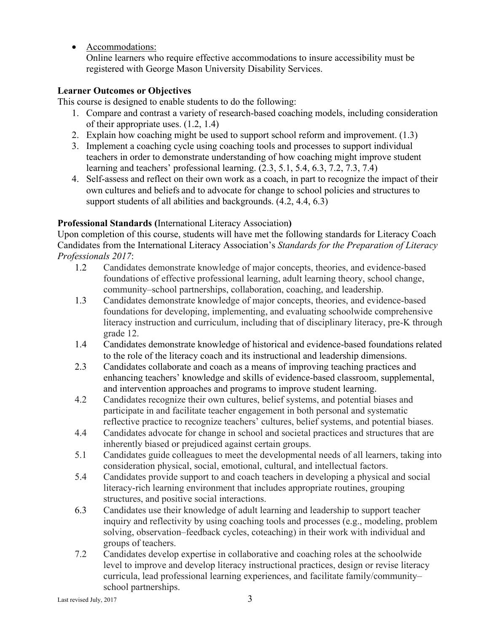• Accommodations:

Online learners who require effective accommodations to insure accessibility must be registered with George Mason University Disability Services.

### **Learner Outcomes or Objectives**

This course is designed to enable students to do the following:

- 1. Compare and contrast a variety of research-based coaching models, including consideration of their appropriate uses. (1.2, 1.4)
- 2. Explain how coaching might be used to support school reform and improvement. (1.3)
- 3. Implement a coaching cycle using coaching tools and processes to support individual teachers in order to demonstrate understanding of how coaching might improve student learning and teachers' professional learning. (2.3, 5.1, 5.4, 6.3, 7.2, 7.3, 7.4)
- 4. Self-assess and reflect on their own work as a coach, in part to recognize the impact of their own cultures and beliefs and to advocate for change to school policies and structures to support students of all abilities and backgrounds. (4.2, 4.4, 6.3)

## **Professional Standards (**International Literacy Association**)**

Upon completion of this course, students will have met the following standards for Literacy Coach Candidates from the International Literacy Association's *Standards for the Preparation of Literacy Professionals 2017*:

- 1.2 Candidates demonstrate knowledge of major concepts, theories, and evidence-based foundations of effective professional learning, adult learning theory, school change, community–school partnerships, collaboration, coaching, and leadership.
- 1.3 Candidates demonstrate knowledge of major concepts, theories, and evidence-based foundations for developing, implementing, and evaluating schoolwide comprehensive literacy instruction and curriculum, including that of disciplinary literacy, pre-K through grade 12.
- 1.4 Candidates demonstrate knowledge of historical and evidence-based foundations related to the role of the literacy coach and its instructional and leadership dimensions.
- 2.3 Candidates collaborate and coach as a means of improving teaching practices and enhancing teachers' knowledge and skills of evidence-based classroom, supplemental, and intervention approaches and programs to improve student learning.
- 4.2 Candidates recognize their own cultures, belief systems, and potential biases and participate in and facilitate teacher engagement in both personal and systematic reflective practice to recognize teachers' cultures, belief systems, and potential biases.
- 4.4 Candidates advocate for change in school and societal practices and structures that are inherently biased or prejudiced against certain groups.
- 5.1 Candidates guide colleagues to meet the developmental needs of all learners, taking into consideration physical, social, emotional, cultural, and intellectual factors.
- 5.4 Candidates provide support to and coach teachers in developing a physical and social literacy-rich learning environment that includes appropriate routines, grouping structures, and positive social interactions.
- 6.3 Candidates use their knowledge of adult learning and leadership to support teacher inquiry and reflectivity by using coaching tools and processes (e.g., modeling, problem solving, observation–feedback cycles, coteaching) in their work with individual and groups of teachers.
- 7.2 Candidates develop expertise in collaborative and coaching roles at the schoolwide level to improve and develop literacy instructional practices, design or revise literacy curricula, lead professional learning experiences, and facilitate family/community– school partnerships.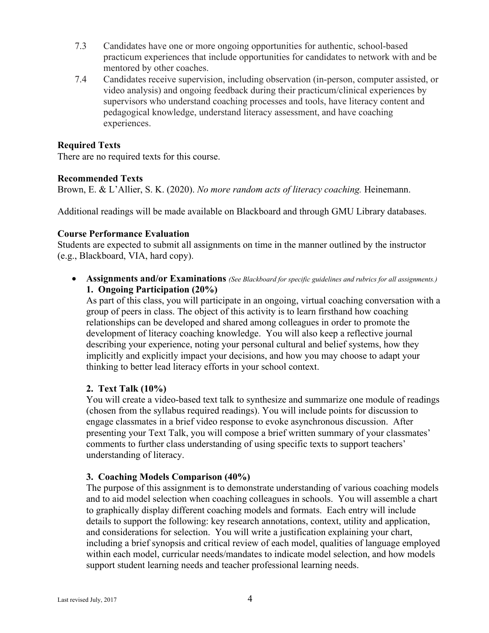- 7.3 Candidates have one or more ongoing opportunities for authentic, school-based practicum experiences that include opportunities for candidates to network with and be mentored by other coaches.
- 7.4 Candidates receive supervision, including observation (in-person, computer assisted, or video analysis) and ongoing feedback during their practicum/clinical experiences by supervisors who understand coaching processes and tools, have literacy content and pedagogical knowledge, understand literacy assessment, and have coaching experiences.

### **Required Texts**

There are no required texts for this course.

#### **Recommended Texts**

Brown, E. & L'Allier, S. K. (2020). *No more random acts of literacy coaching.* Heinemann.

Additional readings will be made available on Blackboard and through GMU Library databases.

#### **Course Performance Evaluation**

Students are expected to submit all assignments on time in the manner outlined by the instructor (e.g., Blackboard, VIA, hard copy).

• **Assignments and/or Examinations** *(See Blackboard for specific guidelines and rubrics for all assignments.)* **1. Ongoing Participation (20%)**

As part of this class, you will participate in an ongoing, virtual coaching conversation with a group of peers in class. The object of this activity is to learn firsthand how coaching relationships can be developed and shared among colleagues in order to promote the development of literacy coaching knowledge. You will also keep a reflective journal describing your experience, noting your personal cultural and belief systems, how they implicitly and explicitly impact your decisions, and how you may choose to adapt your thinking to better lead literacy efforts in your school context.

## **2. Text Talk (10%)**

You will create a video-based text talk to synthesize and summarize one module of readings (chosen from the syllabus required readings). You will include points for discussion to engage classmates in a brief video response to evoke asynchronous discussion. After presenting your Text Talk, you will compose a brief written summary of your classmates' comments to further class understanding of using specific texts to support teachers' understanding of literacy.

#### **3. Coaching Models Comparison (40%)**

The purpose of this assignment is to demonstrate understanding of various coaching models and to aid model selection when coaching colleagues in schools. You will assemble a chart to graphically display different coaching models and formats. Each entry will include details to support the following: key research annotations, context, utility and application, and considerations for selection. You will write a justification explaining your chart, including a brief synopsis and critical review of each model, qualities of language employed within each model, curricular needs/mandates to indicate model selection, and how models support student learning needs and teacher professional learning needs.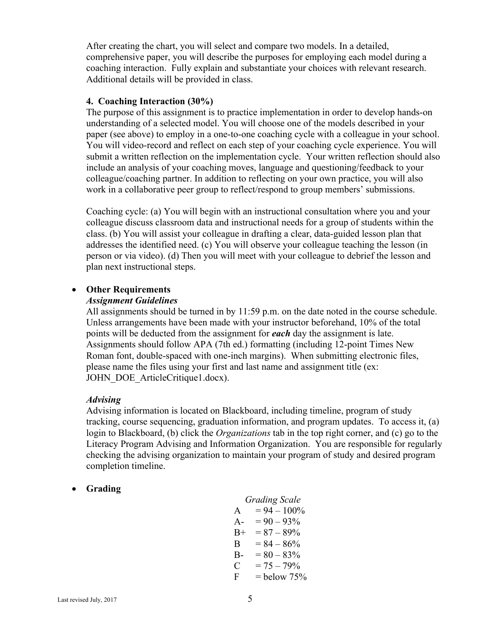After creating the chart, you will select and compare two models. In a detailed, comprehensive paper, you will describe the purposes for employing each model during a coaching interaction. Fully explain and substantiate your choices with relevant research. Additional details will be provided in class.

#### **4. Coaching Interaction (30%)**

The purpose of this assignment is to practice implementation in order to develop hands-on understanding of a selected model. You will choose one of the models described in your paper (see above) to employ in a one-to-one coaching cycle with a colleague in your school. You will video-record and reflect on each step of your coaching cycle experience. You will submit a written reflection on the implementation cycle. Your written reflection should also include an analysis of your coaching moves, language and questioning/feedback to your colleague/coaching partner. In addition to reflecting on your own practice, you will also work in a collaborative peer group to reflect/respond to group members' submissions.

Coaching cycle: (a) You will begin with an instructional consultation where you and your colleague discuss classroom data and instructional needs for a group of students within the class. (b) You will assist your colleague in drafting a clear, data-guided lesson plan that addresses the identified need. (c) You will observe your colleague teaching the lesson (in person or via video). (d) Then you will meet with your colleague to debrief the lesson and plan next instructional steps.

## • **Other Requirements**

#### *Assignment Guidelines*

All assignments should be turned in by 11:59 p.m. on the date noted in the course schedule. Unless arrangements have been made with your instructor beforehand, 10% of the total points will be deducted from the assignment for *each* day the assignment is late. Assignments should follow APA (7th ed.) formatting (including 12-point Times New Roman font, double-spaced with one-inch margins). When submitting electronic files, please name the files using your first and last name and assignment title (ex: JOHN\_DOE\_ArticleCritique1.docx).

## *Advising*

Advising information is located on Blackboard, including timeline, program of study tracking, course sequencing, graduation information, and program updates. To access it, (a) login to Blackboard, (b) click the *Organizations* tab in the top right corner, and (c) go to the Literacy Program Advising and Information Organization. You are responsible for regularly checking the advising organization to maintain your program of study and desired program completion timeline.

## • **Grading**

|       | <b>Grading Scale</b> |
|-------|----------------------|
| A     | $= 94 - 100\%$       |
| $A -$ | $= 90 - 93\%$        |
| $B+$  | $= 87 - 89\%$        |
| B     | $= 84 - 86\%$        |
| $B -$ | $= 80 - 83\%$        |
| C     | $= 75 - 79\%$        |
| F     | $=$ below 75%        |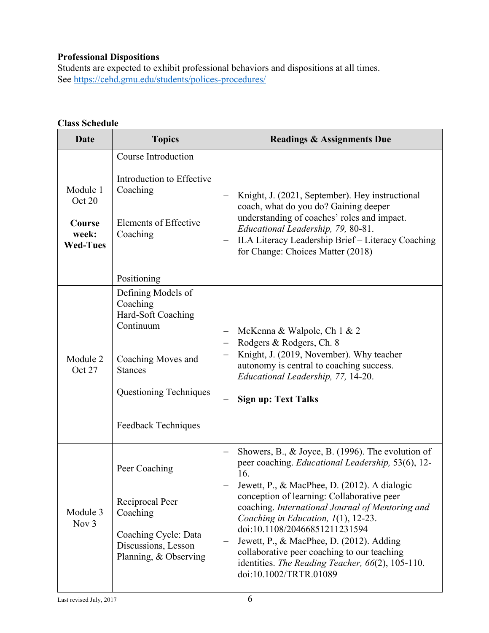# **Professional Dispositions**

Students are expected to exhibit professional behaviors and dispositions at all times. See https://cehd.gmu.edu/students/polices-procedures/

# **Class Schedule**

| Date                                                     | <b>Topics</b>                                                                                                                                                                    | <b>Readings &amp; Assignments Due</b>                                                                                                                                                                                                                                                                                                                                                                                                                                                                                                                      |
|----------------------------------------------------------|----------------------------------------------------------------------------------------------------------------------------------------------------------------------------------|------------------------------------------------------------------------------------------------------------------------------------------------------------------------------------------------------------------------------------------------------------------------------------------------------------------------------------------------------------------------------------------------------------------------------------------------------------------------------------------------------------------------------------------------------------|
| Module 1<br>Oct 20<br>Course<br>week:<br><b>Wed-Tues</b> | Course Introduction<br>Introduction to Effective<br>Coaching<br><b>Elements of Effective</b><br>Coaching                                                                         | Knight, J. (2021, September). Hey instructional<br>$\overline{\phantom{m}}$<br>coach, what do you do? Gaining deeper<br>understanding of coaches' roles and impact.<br>Educational Leadership, 79, 80-81.<br>ILA Literacy Leadership Brief - Literacy Coaching<br>$\overline{\phantom{m}}$<br>for Change: Choices Matter (2018)                                                                                                                                                                                                                            |
| Module 2<br>Oct 27                                       | Positioning<br>Defining Models of<br>Coaching<br>Hard-Soft Coaching<br>Continuum<br>Coaching Moves and<br><b>Stances</b><br><b>Questioning Techniques</b><br>Feedback Techniques | McKenna & Walpole, Ch 1 & 2<br>$\qquad \qquad -$<br>Rodgers & Rodgers, Ch. 8<br>Knight, J. (2019, November). Why teacher<br>—<br>autonomy is central to coaching success.<br>Educational Leadership, 77, 14-20.<br><b>Sign up: Text Talks</b>                                                                                                                                                                                                                                                                                                              |
| Module 3<br>Nov 3                                        | Peer Coaching<br>Reciprocal Peer<br>Coaching<br>Coaching Cycle: Data<br>Discussions, Lesson<br>Planning, & Observing                                                             | Showers, B., & Joyce, B. (1996). The evolution of<br>$\qquad \qquad -$<br>peer coaching. Educational Leadership, 53(6), 12-<br>16.<br>Jewett, P., & MacPhee, D. (2012). A dialogic<br>conception of learning: Collaborative peer<br>coaching. International Journal of Mentoring and<br>Coaching in Education, 1(1), 12-23.<br>doi:10.1108/20466851211231594<br>Jewett, P., & MacPhee, D. (2012). Adding<br>$\qquad \qquad -$<br>collaborative peer coaching to our teaching<br>identities. The Reading Teacher, 66(2), 105-110.<br>doi:10.1002/TRTR.01089 |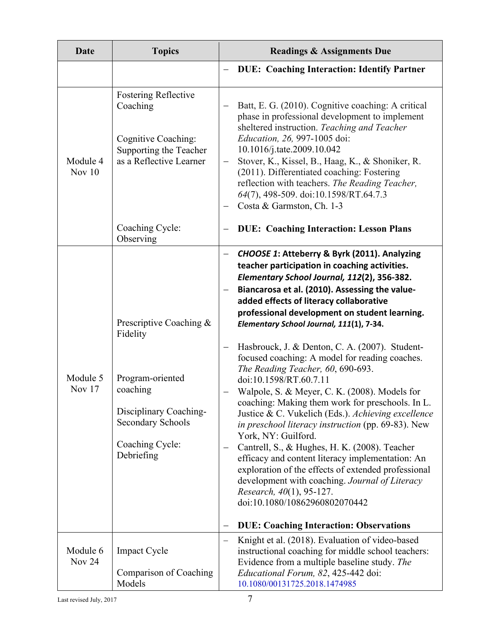| Date                      | <b>Topics</b>                                                                                                                                       | <b>Readings &amp; Assignments Due</b>                                                                                                                                                                                                                                                                                                                                                                                                                                                                                                                                                                                                                                                                                                                                                                                                                                                                                                                                                                                                                                  |
|---------------------------|-----------------------------------------------------------------------------------------------------------------------------------------------------|------------------------------------------------------------------------------------------------------------------------------------------------------------------------------------------------------------------------------------------------------------------------------------------------------------------------------------------------------------------------------------------------------------------------------------------------------------------------------------------------------------------------------------------------------------------------------------------------------------------------------------------------------------------------------------------------------------------------------------------------------------------------------------------------------------------------------------------------------------------------------------------------------------------------------------------------------------------------------------------------------------------------------------------------------------------------|
|                           |                                                                                                                                                     | <b>DUE: Coaching Interaction: Identify Partner</b>                                                                                                                                                                                                                                                                                                                                                                                                                                                                                                                                                                                                                                                                                                                                                                                                                                                                                                                                                                                                                     |
| Module 4<br>Nov $10$      | <b>Fostering Reflective</b><br>Coaching<br>Cognitive Coaching:<br>Supporting the Teacher<br>as a Reflective Learner                                 | Batt, E. G. (2010). Cognitive coaching: A critical<br>phase in professional development to implement<br>sheltered instruction. Teaching and Teacher<br>Education, 26, 997-1005 doi:<br>10.1016/j.tate.2009.10.042<br>Stover, K., Kissel, B., Haag, K., & Shoniker, R.<br>$\qquad \qquad -$<br>(2011). Differentiated coaching: Fostering<br>reflection with teachers. The Reading Teacher,<br>64(7), 498-509. doi:10.1598/RT.64.7.3<br>Costa & Garmston, Ch. 1-3                                                                                                                                                                                                                                                                                                                                                                                                                                                                                                                                                                                                       |
|                           | Coaching Cycle:<br>Observing                                                                                                                        | <b>DUE: Coaching Interaction: Lesson Plans</b>                                                                                                                                                                                                                                                                                                                                                                                                                                                                                                                                                                                                                                                                                                                                                                                                                                                                                                                                                                                                                         |
| Module 5<br>Nov $17$      | Prescriptive Coaching &<br>Fidelity<br>Program-oriented<br>coaching<br>Disciplinary Coaching-<br>Secondary Schools<br>Coaching Cycle:<br>Debriefing | CHOOSE 1: Atteberry & Byrk (2011). Analyzing<br>teacher participation in coaching activities.<br>Elementary School Journal, 112(2), 356-382.<br>Biancarosa et al. (2010). Assessing the value-<br>added effects of literacy collaborative<br>professional development on student learning.<br>Elementary School Journal, 111(1), 7-34.<br>Hasbrouck, J. & Denton, C. A. (2007). Student-<br>$\qquad \qquad -$<br>focused coaching: A model for reading coaches.<br>The Reading Teacher, 60, 690-693.<br>doi:10.1598/RT.60.7.11<br>Walpole, S. & Meyer, C. K. (2008). Models for<br>coaching: Making them work for preschools. In L.<br>Justice & C. Vukelich (Eds.). Achieving excellence<br>in preschool literacy instruction (pp. 69-83). New<br>York, NY: Guilford.<br>Cantrell, S., & Hughes, H. K. (2008). Teacher<br>$\qquad \qquad -$<br>efficacy and content literacy implementation: An<br>exploration of the effects of extended professional<br>development with coaching. Journal of Literacy<br>Research, 40(1), 95-127.<br>doi:10.1080/10862960802070442 |
|                           |                                                                                                                                                     | <b>DUE: Coaching Interaction: Observations</b><br>$\overline{\phantom{0}}$<br>Knight et al. (2018). Evaluation of video-based<br>$\overline{\phantom{m}}$                                                                                                                                                                                                                                                                                                                                                                                                                                                                                                                                                                                                                                                                                                                                                                                                                                                                                                              |
| Module 6<br><b>Nov 24</b> | <b>Impact Cycle</b><br>Comparison of Coaching<br>Models                                                                                             | instructional coaching for middle school teachers:<br>Evidence from a multiple baseline study. The<br>Educational Forum, 82, 425-442 doi:<br>10.1080/00131725.2018.1474985                                                                                                                                                                                                                                                                                                                                                                                                                                                                                                                                                                                                                                                                                                                                                                                                                                                                                             |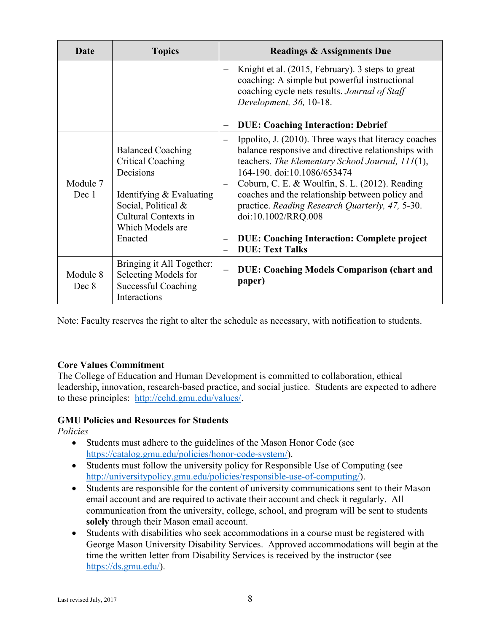| Date              | <b>Topics</b>                                                                                                                                                               | <b>Readings &amp; Assignments Due</b>                                                                                                                                                                                                                                                                                                                                                                                                                                                             |
|-------------------|-----------------------------------------------------------------------------------------------------------------------------------------------------------------------------|---------------------------------------------------------------------------------------------------------------------------------------------------------------------------------------------------------------------------------------------------------------------------------------------------------------------------------------------------------------------------------------------------------------------------------------------------------------------------------------------------|
|                   |                                                                                                                                                                             | Knight et al. (2015, February). 3 steps to great<br>$\overline{\phantom{0}}$<br>coaching: A simple but powerful instructional<br>coaching cycle nets results. Journal of Staff<br>Development, 36, 10-18.                                                                                                                                                                                                                                                                                         |
|                   |                                                                                                                                                                             | <b>DUE: Coaching Interaction: Debrief</b><br>$\qquad \qquad -$                                                                                                                                                                                                                                                                                                                                                                                                                                    |
| Module 7<br>Dec 1 | <b>Balanced Coaching</b><br><b>Critical Coaching</b><br>Decisions<br>Identifying & Evaluating<br>Social, Political &<br>Cultural Contexts in<br>Which Models are<br>Enacted | Ippolito, J. (2010). Three ways that literacy coaches<br>$\overbrace{\phantom{1232211}}$<br>balance responsive and directive relationships with<br>teachers. The Elementary School Journal, 111(1),<br>164-190. doi:10.1086/653474<br>Coburn, C. E. & Woulfin, S. L. (2012). Reading<br>coaches and the relationship between policy and<br>practice. Reading Research Quarterly, 47, 5-30.<br>doi:10.1002/RRQ.008<br><b>DUE: Coaching Interaction: Complete project</b><br><b>DUE: Text Talks</b> |
| Module 8<br>Dec 8 | Bringing it All Together:<br>Selecting Models for<br>Successful Coaching<br>Interactions                                                                                    | <b>DUE: Coaching Models Comparison (chart and</b><br>paper)                                                                                                                                                                                                                                                                                                                                                                                                                                       |

Note: Faculty reserves the right to alter the schedule as necessary, with notification to students.

## **Core Values Commitment**

The College of Education and Human Development is committed to collaboration, ethical leadership, innovation, research-based practice, and social justice. Students are expected to adhere to these principles: [http://cehd.gmu.edu/values/.](http://cehd.gmu.edu/values/)

## **GMU Policies and Resources for Students**

*Policies*

- Students must adhere to the guidelines of the Mason Honor Code (see [https://catalog.gmu.edu/policies/honor-code-system/\)](https://catalog.gmu.edu/policies/honor-code-system/).
- Students must follow the university policy for Responsible Use of Computing (see [http://universitypolicy.gmu.edu/policies/responsible-use-of-computing/\)](http://universitypolicy.gmu.edu/policies/responsible-use-of-computing/).
- Students are responsible for the content of university communications sent to their Mason email account and are required to activate their account and check it regularly. All communication from the university, college, school, and program will be sent to students **solely** through their Mason email account.
- Students with disabilities who seek accommodations in a course must be registered with George Mason University Disability Services. Approved accommodations will begin at the time the written letter from Disability Services is received by the instructor (see [https://ds.gmu.edu/\)](https://ds.gmu.edu/).